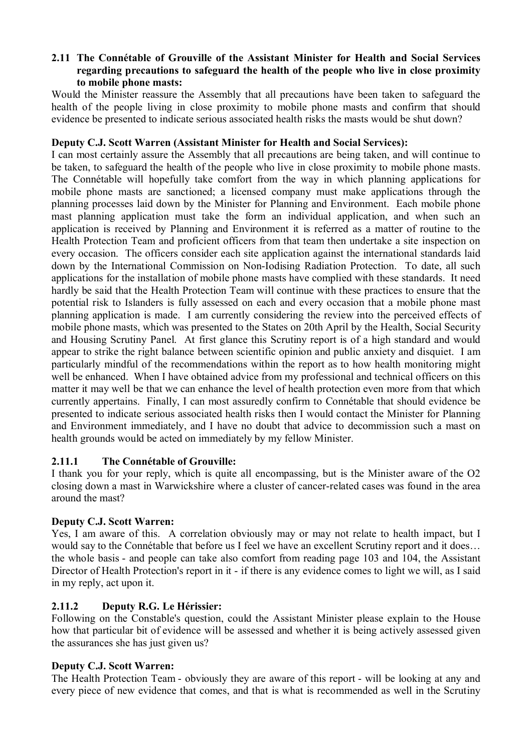### **2.11 The Connétable of Grouville of the Assistant Minister for Health and Social Services regarding precautions to safeguard the health of the people who live in close proximity to mobile phone masts:**

Would the Minister reassure the Assembly that all precautions have been taken to safeguard the health of the people living in close proximity to mobile phone masts and confirm that should evidence be presented to indicate serious associated health risks the masts would be shut down?

### **Deputy C.J. Scott Warren (Assistant Minister for Health and Social Services):**

I can most certainly assure the Assembly that all precautions are being taken, and will continue to be taken, to safeguard the health of the people who live in close proximity to mobile phone masts. The Connétable will hopefully take comfort from the way in which planning applications for mobile phone masts are sanctioned; a licensed company must make applications through the planning processes laid down by the Minister for Planning and Environment. Each mobile phone mast planning application must take the form an individual application, and when such an application is received by Planning and Environment it is referred as a matter of routine to the Health Protection Team and proficient officers from that team then undertake a site inspection on every occasion. The officers consider each site application against the international standards laid down by the International Commission on Non-Iodising Radiation Protection. To date, all such applications for the installation of mobile phone masts have complied with these standards. It need hardly be said that the Health Protection Team will continue with these practices to ensure that the potential risk to Islanders is fully assessed on each and every occasion that a mobile phone mast planning application is made. I am currently considering the review into the perceived effects of mobile phone masts, which was presented to the States on 20th April by the Health, Social Security and Housing Scrutiny Panel. At first glance this Scrutiny report is of a high standard and would appear to strike the right balance between scientific opinion and public anxiety and disquiet. I am particularly mindful of the recommendations within the report as to how health monitoring might well be enhanced. When I have obtained advice from my professional and technical officers on this matter it may well be that we can enhance the level of health protection even more from that which currently appertains. Finally, I can most assuredly confirm to Connétable that should evidence be presented to indicate serious associated health risks then I would contact the Minister for Planning and Environment immediately, and I have no doubt that advice to decommission such a mast on health grounds would be acted on immediately by my fellow Minister.

# **2.11.1 The Connétable of Grouville:**

I thank you for your reply, which is quite all encompassing, but is the Minister aware of the O2 closing down a mast in Warwickshire where a cluster of cancer-related cases was found in the area around the mast?

### **Deputy C.J. Scott Warren:**

Yes, I am aware of this. A correlation obviously may or may not relate to health impact, but I would say to the Connétable that before us I feel we have an excellent Scrutiny report and it does… the whole basis - and people can take also comfort from reading page 103 and 104, the Assistant Director of Health Protection's report in it - if there is any evidence comes to light we will, as I said in my reply, act upon it.

# **2.11.2 Deputy R.G. Le Hérissier:**

Following on the Constable's question, could the Assistant Minister please explain to the House how that particular bit of evidence will be assessed and whether it is being actively assessed given the assurances she has just given us?

### **Deputy C.J. Scott Warren:**

The Health Protection Team - obviously they are aware of this report - will be looking at any and every piece of new evidence that comes, and that is what is recommended as well in the Scrutiny